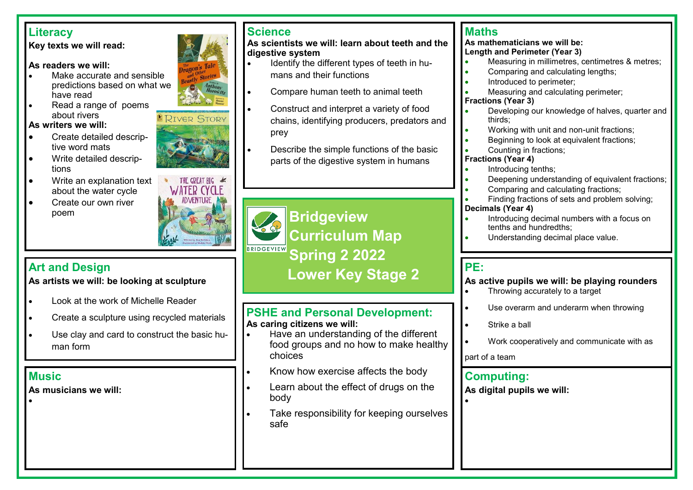# **Literacy**

#### **Key texts we will read:**

#### **As readers we will:**

- Make accurate and sensible predictions based on what we have read
- Read a range of poems about rivers

#### **As writers we will:**

- Create detailed descriptive word mats
- Write detailed descriptions
- Write an explanation text about the water cycle
- Create our own river poem



The Tale  $_{\rm{Corries}}^{\rm{per}}$ 

**BRIVER STORY** 

**As artists we will: be looking at sculpture** 

- Look at the work of Michelle Reader
- Create a sculpture using recycled materials
- Use clay and card to construct the basic human form

# **Music**

•

**As musicians we will:**

# **Science**

#### **As scientists we will: learn about teeth and the digestive system**

- Identify the different types of teeth in humans and their functions
- Compare human teeth to animal teeth
- Construct and interpret a variety of food chains, identifying producers, predators and prey
- Describe the simple functions of the basic parts of the digestive system in humans

# **Bridgeview Curriculum Map Spring 2 2022 Lower Key Stage 2 Art and Design**

# **PSHE and Personal Development: As caring citizens we will:**

- Have an understanding of the different food groups and no how to make healthy choices
- Know how exercise affects the body
- Learn about the effect of drugs on the body
- Take responsibility for keeping ourselves safe

# **Maths**

#### **As mathematicians we will be: Length and Perimeter (Year 3)**

- Measuring in millimetres, centimetres & metres;
- Comparing and calculating lengths;
- Introduced to perimeter;
- Measuring and calculating perimeter;

#### **Fractions (Year 3)**

- Developing our knowledge of halves, quarter and thirds;
- Working with unit and non-unit fractions;
- Beginning to look at equivalent fractions;
- Counting in fractions;

## **Fractions (Year 4)**

- Introducing tenths;
- Deepening understanding of equivalent fractions;
- Comparing and calculating fractions;
- Finding fractions of sets and problem solving;

### **Decimals (Year 4)**

- Introducing decimal numbers with a focus on tenths and hundredths;
- Understanding decimal place value.

# **PE:**

•

**As active pupils we will: be playing rounders**

- Throwing accurately to a target
- Use overarm and underarm when throwing
- Strike a ball
- Work cooperatively and communicate with as

part of a team

# **Computing:**

**As digital pupils we will:**